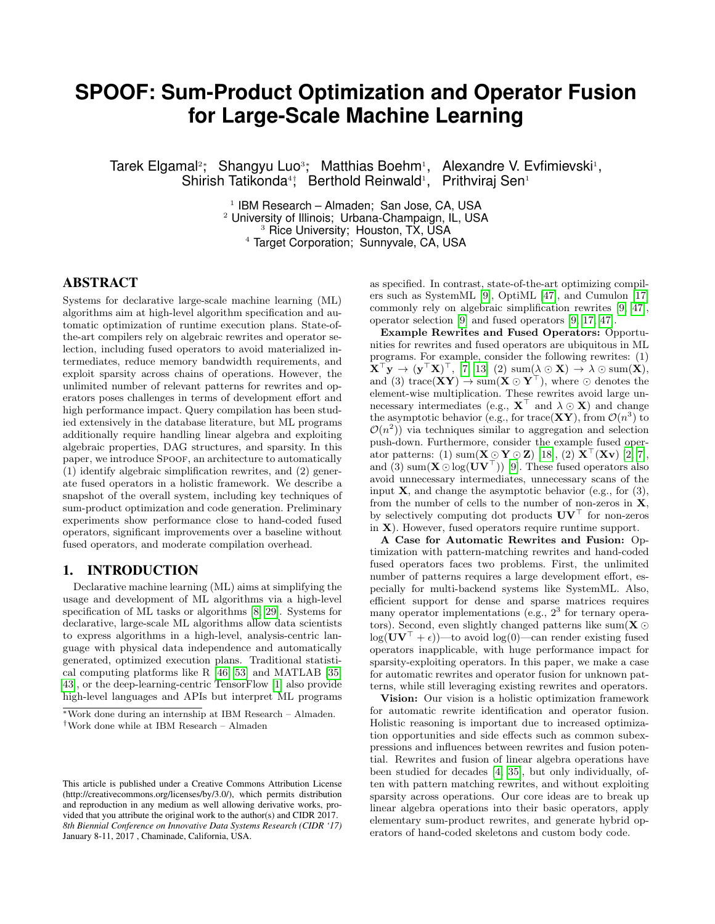# **SPOOF: Sum-Product Optimization and Operator Fusion for Large-Scale Machine Learning**

Tarek Elgamal<sup>2</sup>; Shangyu Luo<sup>3</sup>; Matthias Boehm<sup>1</sup>, Alexandre V. Evfimievski<sup>1</sup>, Shirish Tatikonda<sup>4</sup>; Berthold Reinwald<sup>1</sup>, Prithviraj Sen<sup>1</sup>

> <sup>1</sup> IBM Research – Almaden; San Jose, CA, USA University of Illinois; Urbana-Champaign, IL, USA Rice University; Houston, TX, USA Target Corporation; Sunnyvale, CA, USA

# ABSTRACT

Systems for declarative large-scale machine learning (ML) algorithms aim at high-level algorithm specification and automatic optimization of runtime execution plans. State-ofthe-art compilers rely on algebraic rewrites and operator selection, including fused operators to avoid materialized intermediates, reduce memory bandwidth requirements, and exploit sparsity across chains of operations. However, the unlimited number of relevant patterns for rewrites and operators poses challenges in terms of development effort and high performance impact. Query compilation has been studied extensively in the database literature, but ML programs additionally require handling linear algebra and exploiting algebraic properties, DAG structures, and sparsity. In this paper, we introduce SPOOF, an architecture to automatically (1) identify algebraic simplification rewrites, and (2) generate fused operators in a holistic framework. We describe a snapshot of the overall system, including key techniques of sum-product optimization and code generation. Preliminary experiments show performance close to hand-coded fused operators, significant improvements over a baseline without fused operators, and moderate compilation overhead.

## 1. INTRODUCTION

Declarative machine learning (ML) aims at simplifying the usage and development of ML algorithms via a high-level specification of ML tasks or algorithms [\[8,](#page-9-0) [29\]](#page-9-1). Systems for declarative, large-scale ML algorithms allow data scientists to express algorithms in a high-level, analysis-centric language with physical data independence and automatically generated, optimized execution plans. Traditional statistical computing platforms like R [\[46,](#page-9-2) [53\]](#page-9-3) and MATLAB [\[35,](#page-9-4) [43\]](#page-9-5), or the deep-learning-centric TensorFlow [\[1\]](#page-9-6) also provide high-level languages and APIs but interpret ML programs

as specified. In contrast, state-of-the-art optimizing compilers such as SystemML [\[9\]](#page-9-7), OptiML [\[47\]](#page-9-8), and Cumulon [\[17\]](#page-9-9) commonly rely on algebraic simplification rewrites [\[9,](#page-9-7) [47\]](#page-9-8), operator selection [\[9\]](#page-9-7) and fused operators [\[9,](#page-9-7) [17,](#page-9-9) [47\]](#page-9-8).

Example Rewrites and Fused Operators: Opportunities for rewrites and fused operators are ubiquitous in ML programs. For example, consider the following rewrites: (1)  $\mathbf{X}^{\top} \mathbf{y} \rightarrow (\mathbf{y}^{\top} \mathbf{X})^{\top}$ , [\[7,](#page-9-10) [13\]](#page-9-11) (2) sum( $\lambda \odot \mathbf{X}$ )  $\rightarrow \lambda \odot$  sum( $\mathbf{X}$ ), and (3) trace( $XY$ )  $\rightarrow$  sum( $X \odot Y^{\top}$ ), where  $\odot$  denotes the element-wise multiplication. These rewrites avoid large unnecessary intermediates (e.g.,  $X^{\top}$  and  $\lambda \odot X$ ) and change the asymptotic behavior (e.g., for trace( $XY$ ), from  $\mathcal{O}(n^3)$  to  $\mathcal{O}(n^2)$  via techniques similar to aggregation and selection push-down. Furthermore, consider the example fused operator patterns: (1) sum( $\mathbf{X} \odot \mathbf{Y} \odot \mathbf{Z}$ ) [\[18\]](#page-9-12), (2)  $\mathbf{X}^{\top}(\mathbf{X}\mathbf{v})$  [\[2,](#page-9-13) [7\]](#page-9-10), and (3) sum( $\mathbf{X} \odot \log(\mathbf{U} \mathbf{V}^{\top})$  [\[9\]](#page-9-7). These fused operators also avoid unnecessary intermediates, unnecessary scans of the input  $X$ , and change the asymptotic behavior (e.g., for  $(3)$ , from the number of cells to the number of non-zeros in  $X$ , by selectively computing dot products  $UV<sup>T</sup>$  for non-zeros in X). However, fused operators require runtime support.

A Case for Automatic Rewrites and Fusion: Optimization with pattern-matching rewrites and hand-coded fused operators faces two problems. First, the unlimited number of patterns requires a large development effort, especially for multi-backend systems like SystemML. Also, efficient support for dense and sparse matrices requires many operator implementations (e.g.,  $2<sup>3</sup>$  for ternary operators). Second, even slightly changed patterns like sum( $X \odot$  $log(UV^{\top} + \epsilon)$ —to avoid  $log(0)$ —can render existing fused operators inapplicable, with huge performance impact for sparsity-exploiting operators. In this paper, we make a case for automatic rewrites and operator fusion for unknown patterns, while still leveraging existing rewrites and operators.

Vision: Our vision is a holistic optimization framework for automatic rewrite identification and operator fusion. Holistic reasoning is important due to increased optimization opportunities and side effects such as common subexpressions and influences between rewrites and fusion potential. Rewrites and fusion of linear algebra operations have been studied for decades [\[4,](#page-9-14) [35\]](#page-9-4), but only individually, often with pattern matching rewrites, and without exploiting sparsity across operations. Our core ideas are to break up linear algebra operations into their basic operators, apply elementary sum-product rewrites, and generate hybrid operators of hand-coded skeletons and custom body code.

<sup>∗</sup>Work done during an internship at IBM Research – Almaden. †Work done while at IBM Research – Almaden

This article is published under a Creative Commons Attribution License (http://creativecommons.org/licenses/by/3.0/), which permits distribution and reproduction in any medium as well allowing derivative works, provided that you attribute the original work to the author(s) and CIDR 2017. *8th Biennial Conference on Innovative Data Systems Research (CIDR '17)* January 8-11, 2017 , Chaminade, California, USA.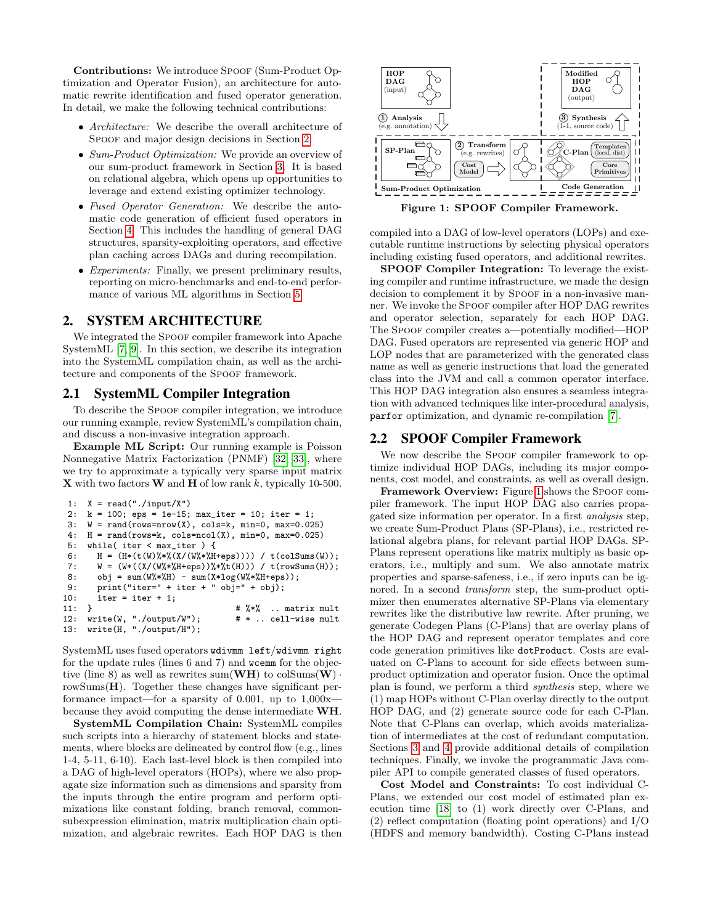Contributions: We introduce SPOOF (Sum-Product Optimization and Operator Fusion), an architecture for automatic rewrite identification and fused operator generation. In detail, we make the following technical contributions:

- Architecture: We describe the overall architecture of SPOOF and major design decisions in Section [2.](#page-1-0)
- Sum-Product Optimization: We provide an overview of our sum-product framework in Section [3.](#page-2-0) It is based on relational algebra, which opens up opportunities to leverage and extend existing optimizer technology.
- Fused Operator Generation: We describe the automatic code generation of efficient fused operators in Section [4.](#page-3-0) This includes the handling of general DAG structures, sparsity-exploiting operators, and effective plan caching across DAGs and during recompilation.
- Experiments: Finally, we present preliminary results, reporting on micro-benchmarks and end-to-end performance of various ML algorithms in Section [5.](#page-5-0)

# <span id="page-1-0"></span>2. SYSTEM ARCHITECTURE

We integrated the SPOOF compiler framework into Apache SystemML [\[7,](#page-9-10) [9\]](#page-9-7). In this section, we describe its integration into the SystemML compilation chain, as well as the architecture and components of the SPOOF framework.

## <span id="page-1-2"></span>2.1 SystemML Compiler Integration

To describe the Spoof compiler integration, we introduce our running example, review SystemML's compilation chain, and discuss a non-invasive integration approach.

Example ML Script: Our running example is Poisson Nonnegative Matrix Factorization (PNMF) [\[32,](#page-9-15) [33\]](#page-9-16), where we try to approximate a typically very sparse input matrix **X** with two factors **W** and **H** of low rank k, typically 10-500.

```
1: X = read("./input/X")2: k = 100; eps = 1e-15; max_iter = 10; iter = 1;
3: W = rand(rows=nrow(X), cols=k, min=0, max=0.025)
 4: H = rand(rows=k, cols=ncol(X), min=0, max=0.025)5: while( iter < max_iter ) {
6: H = (H * (t(W) % * % (X / (W' * % H + eps)))) / t(colSums(W));7: W = (W*((X/(W%*%H+eps))%*%t(H))) / t(rowSums(H));
8: obj = sum(W%*%H) - sum(X*log(W%*%H+eps));
9: print("iter=" + iter + " obj=" + obj);<br>10: iter = iter + 1;iter = iter + 1;11: } \# \% .. matrix mult<br>12: write(W, "./output/W"); \# * .. cell-wise mult
12: write(W, "./output/W");13: write(H, "./output/H");
```
SystemML uses fused operators wdivmm left/wdivmm right for the update rules (lines 6 and 7) and wcemm for the objective (line 8) as well as rewrites sum  $(\mathbf{WH})$  to colSums $(\mathbf{W})$ . rowSums(H). Together these changes have significant performance impact—for a sparsity of 0.001, up to  $1,000x$ because they avoid computing the dense intermediate WH.

SystemML Compilation Chain: SystemML compiles such scripts into a hierarchy of statement blocks and statements, where blocks are delineated by control flow (e.g., lines 1-4, 5-11, 6-10). Each last-level block is then compiled into a DAG of high-level operators (HOPs), where we also propagate size information such as dimensions and sparsity from the inputs through the entire program and perform optimizations like constant folding, branch removal, commonsubexpression elimination, matrix multiplication chain optimization, and algebraic rewrites. Each HOP DAG is then



<span id="page-1-1"></span>Figure 1: SPOOF Compiler Framework.

compiled into a DAG of low-level operators (LOPs) and executable runtime instructions by selecting physical operators including existing fused operators, and additional rewrites.

SPOOF Compiler Integration: To leverage the existing compiler and runtime infrastructure, we made the design decision to complement it by SPOOF in a non-invasive manner. We invoke the Spoof compiler after HOP DAG rewrites and operator selection, separately for each HOP DAG. The Spoof compiler creates a—potentially modified—HOP DAG. Fused operators are represented via generic HOP and LOP nodes that are parameterized with the generated class name as well as generic instructions that load the generated class into the JVM and call a common operator interface. This HOP DAG integration also ensures a seamless integration with advanced techniques like inter-procedural analysis, parfor optimization, and dynamic re-compilation [\[7\]](#page-9-10).

## 2.2 SPOOF Compiler Framework

We now describe the SPOOF compiler framework to optimize individual HOP DAGs, including its major components, cost model, and constraints, as well as overall design.

Framework Overview: Figure [1](#page-1-1) shows the SPOOF compiler framework. The input HOP DAG also carries propagated size information per operator. In a first analysis step, we create Sum-Product Plans (SP-Plans), i.e., restricted relational algebra plans, for relevant partial HOP DAGs. SP-Plans represent operations like matrix multiply as basic operators, i.e., multiply and sum. We also annotate matrix properties and sparse-safeness, i.e., if zero inputs can be ignored. In a second transform step, the sum-product optimizer then enumerates alternative SP-Plans via elementary rewrites like the distributive law rewrite. After pruning, we generate Codegen Plans (C-Plans) that are overlay plans of the HOP DAG and represent operator templates and core code generation primitives like dotProduct. Costs are evaluated on C-Plans to account for side effects between sumproduct optimization and operator fusion. Once the optimal plan is found, we perform a third synthesis step, where we (1) map HOPs without C-Plan overlay directly to the output HOP DAG, and (2) generate source code for each C-Plan. Note that C-Plans can overlap, which avoids materialization of intermediates at the cost of redundant computation. Sections [3](#page-2-0) and [4](#page-3-0) provide additional details of compilation techniques. Finally, we invoke the programmatic Java compiler API to compile generated classes of fused operators.

Cost Model and Constraints: To cost individual C-Plans, we extended our cost model of estimated plan execution time [\[18\]](#page-9-12) to (1) work directly over C-Plans, and (2) reflect computation (floating point operations) and I/O (HDFS and memory bandwidth). Costing C-Plans instead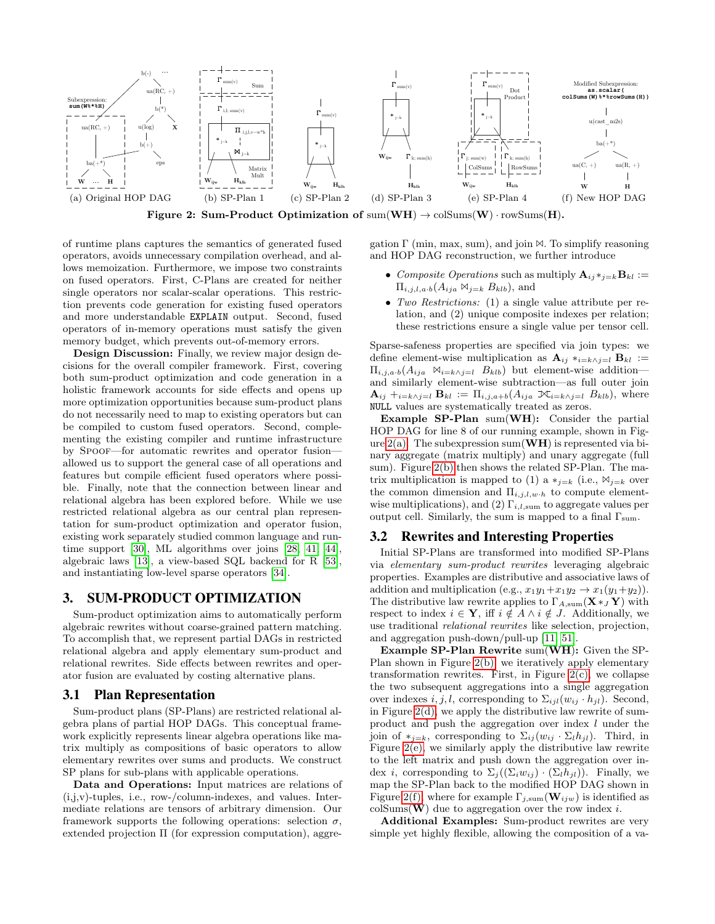<span id="page-2-1"></span>

<span id="page-2-2"></span>Figure 2: Sum-Product Optimization of  $sum(WH) \rightarrow colSum(W) \cdot rowSum(H)$ .

of runtime plans captures the semantics of generated fused operators, avoids unnecessary compilation overhead, and allows memoization. Furthermore, we impose two constraints on fused operators. First, C-Plans are created for neither single operators nor scalar-scalar operations. This restriction prevents code generation for existing fused operators and more understandable EXPLAIN output. Second, fused operators of in-memory operations must satisfy the given memory budget, which prevents out-of-memory errors.

Design Discussion: Finally, we review major design decisions for the overall compiler framework. First, covering both sum-product optimization and code generation in a holistic framework accounts for side effects and opens up more optimization opportunities because sum-product plans do not necessarily need to map to existing operators but can be compiled to custom fused operators. Second, complementing the existing compiler and runtime infrastructure by Spoof—for automatic rewrites and operator fusion allowed us to support the general case of all operations and features but compile efficient fused operators where possible. Finally, note that the connection between linear and relational algebra has been explored before. While we use restricted relational algebra as our central plan representation for sum-product optimization and operator fusion, existing work separately studied common language and runtime support [\[30\]](#page-9-17), ML algorithms over joins [\[28,](#page-9-18) [41,](#page-9-19) [44\]](#page-9-20), algebraic laws [\[13\]](#page-9-11), a view-based SQL backend for R [\[53\]](#page-9-3), and instantiating low-level sparse operators [\[34\]](#page-9-21).

#### <span id="page-2-0"></span>3. SUM-PRODUCT OPTIMIZATION

Sum-product optimization aims to automatically perform algebraic rewrites without coarse-grained pattern matching. To accomplish that, we represent partial DAGs in restricted relational algebra and apply elementary sum-product and relational rewrites. Side effects between rewrites and operator fusion are evaluated by costing alternative plans.

#### 3.1 Plan Representation

Sum-product plans (SP-Plans) are restricted relational algebra plans of partial HOP DAGs. This conceptual framework explicitly represents linear algebra operations like matrix multiply as compositions of basic operators to allow elementary rewrites over sums and products. We construct SP plans for sub-plans with applicable operations.

Data and Operations: Input matrices are relations of (i,j,v)-tuples, i.e., row-/column-indexes, and values. Intermediate relations are tensors of arbitrary dimension. Our framework supports the following operations: selection  $\sigma$ , extended projection Π (for expression computation), aggre<span id="page-2-5"></span><span id="page-2-4"></span><span id="page-2-3"></span>gation  $\Gamma$  (min, max, sum), and join  $\mathbb{M}$ . To simplify reasoning and HOP DAG reconstruction, we further introduce

- <span id="page-2-6"></span>• Composite Operations such as multiply  $\mathbf{A}_{ij} *_{j=k} \mathbf{B}_{kl} :=$  $\Pi_{i,j,l,a\cdot b}(A_{ija} \bowtie_{j=k} B_{klb}),$  and
- Two Restrictions: (1) a single value attribute per relation, and (2) unique composite indexes per relation; these restrictions ensure a single value per tensor cell.

Sparse-safeness properties are specified via join types: we define element-wise multiplication as  $\mathbf{A}_{ij} *_{i=k} \wedge_{j=l} \mathbf{B}_{kl} :=$  $\Pi_{i,j,a\cdot b}(A_{ija} \bowtie_{i=k \wedge j=l} B_{klb})$  but element-wise additionand similarly element-wise subtraction—as full outer join  $\mathbf{A}_{ij}$  + $_{i=k\wedge j=l}$   $\mathbf{B}_{kl} := \Pi_{i,j,a+b}(A_{ija} \mathbf{M}_{i=k\wedge j=l} B_{klb}),$  where NULL values are systematically treated as zeros.

Example SP-Plan sum(WH): Consider the partial HOP DAG for line 8 of our running example, shown in Figure  $2(a)$ . The subexpression sum(WH) is represented via binary aggregate (matrix multiply) and unary aggregate (full sum). Figure [2\(b\)](#page-2-2) then shows the related SP-Plan. The matrix multiplication is mapped to (1) a  $*_i=k$  (i.e.,  $\mathbb{N}_{i=k}$  over the common dimension and  $\Pi_{i,j,l,w\cdot h}$  to compute elementwise multiplications), and (2)  $\Gamma_{i,l,\text{sum}}$  to aggregate values per output cell. Similarly, the sum is mapped to a final  $\Gamma_{\mathrm{sum}}$ .

#### 3.2 Rewrites and Interesting Properties

Initial SP-Plans are transformed into modified SP-Plans via elementary sum-product rewrites leveraging algebraic properties. Examples are distributive and associative laws of addition and multiplication (e.g.,  $x_1y_1+x_1y_2 \rightarrow x_1(y_1+y_2)$ ). The distributive law rewrite applies to  $\Gamma_{A,\text{sum}}(\mathbf{X} *_{J} \mathbf{Y})$  with respect to index  $i \in \mathbf{Y}$ , iff  $i \notin A \wedge i \notin J$ . Additionally, we use traditional relational rewrites like selection, projection, and aggregation push-down/pull-up [\[11,](#page-9-22) [51\]](#page-9-23).

Example SP-Plan Rewrite sum(WH): Given the SP-Plan shown in Figure [2\(b\),](#page-2-2) we iteratively apply elementary transformation rewrites. First, in Figure  $2(c)$ , we collapse the two subsequent aggregations into a single aggregation over indexes i, j, l, corresponding to  $\Sigma_{ijl}(w_{ij} \cdot h_{jl})$ . Second, in Figure  $2(d)$ , we apply the distributive law rewrite of sumproduct and push the aggregation over index l under the join of  $*_{{j=k}}$ , corresponding to  $\Sigma_{ij}(w_{ij} \cdot \Sigma_{l} h_{jl})$ . Third, in Figure [2\(e\),](#page-2-5) we similarly apply the distributive law rewrite to the left matrix and push down the aggregation over index *i*, corresponding to  $\Sigma_i((\Sigma_i w_{ii}) \cdot (\Sigma_l h_{il}))$ . Finally, we map the SP-Plan back to the modified HOP DAG shown in Figure [2\(f\),](#page-2-6) where for example  $\Gamma_{i,\text{sum}}(\mathbf{W}_{ijw})$  is identified as colSums( $\bf{W}$ ) due to aggregation over the row index *i*.

Additional Examples: Sum-product rewrites are very simple yet highly flexible, allowing the composition of a va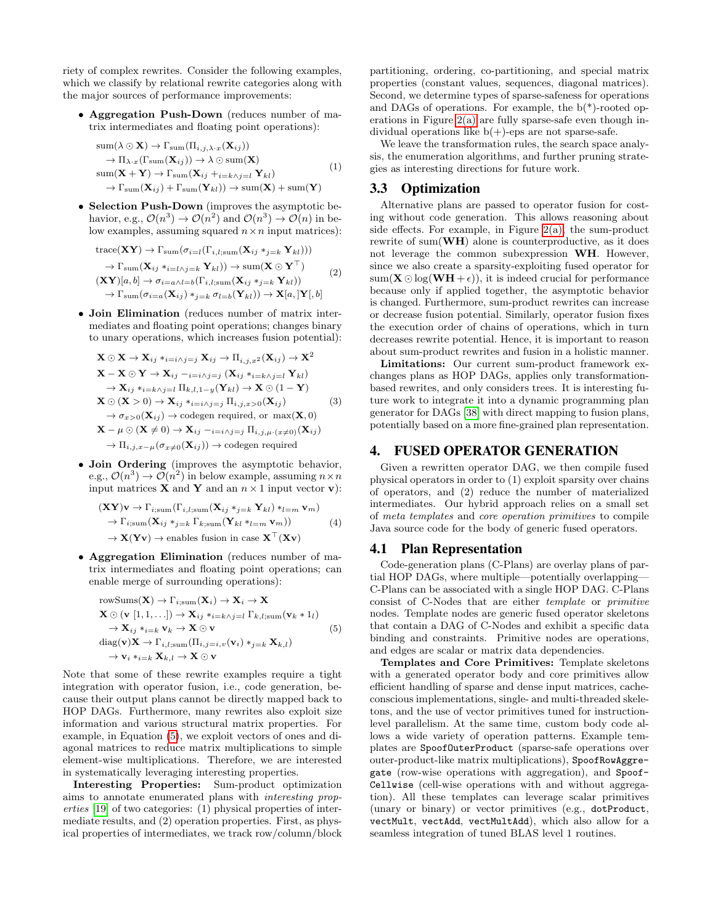riety of complex rewrites. Consider the following examples, which we classify by relational rewrite categories along with the major sources of performance improvements:

• Aggregation Push-Down (reduces number of matrix intermediates and floating point operations):

$$
\text{sum}(\lambda \odot \mathbf{X}) \rightarrow \Gamma_{\text{sum}}(\Pi_{i,j,\lambda \cdot x}(\mathbf{X}_{ij})) \rightarrow \Pi_{\lambda \cdot x}(\Gamma_{\text{sum}}(\mathbf{X}_{ij})) \rightarrow \lambda \odot \text{sum}(\mathbf{X}) \n\text{sum}(\mathbf{X} + \mathbf{Y}) \rightarrow \Gamma_{\text{sum}}(\mathbf{X}_{ij} + i = k \wedge j = l \mathbf{Y}_{kl}) \rightarrow \Gamma_{\text{sum}}(\mathbf{X}_{ij}) + \Gamma_{\text{sum}}(\mathbf{Y}_{kl})) \rightarrow \text{sum}(\mathbf{X}) + \text{sum}(\mathbf{Y})
$$
\n(1)

• Selection Push-Down (improves the asymptotic behavior, e.g.,  $\mathcal{O}(n^3) \to \mathcal{O}(n^2)$  and  $\mathcal{O}(n^3) \to \mathcal{O}(n)$  in below examples, assuming squared  $n \times n$  input matrices):

$$
\text{trace}(\mathbf{XY}) \to \Gamma_{\text{sum}}(\sigma_{i=l}(\Gamma_{i,l;\text{sum}}(\mathbf{X}_{ij} *_{j=k} \mathbf{Y}_{kl})))
$$
  
\n
$$
\to \Gamma_{\text{sum}}(\mathbf{X}_{ij} *_{i=l \wedge j=k} \mathbf{Y}_{kl})) \to \text{sum}(\mathbf{X} \odot \mathbf{Y}^{\top})
$$
  
\n
$$
(\mathbf{XY})[a, b] \to \sigma_{i=a \wedge l=b}(\Gamma_{i,l;\text{sum}}(\mathbf{X}_{ij} *_{j=k} \mathbf{Y}_{kl}))
$$
  
\n
$$
\to \Gamma_{\text{sum}}(\sigma_{i=a}(\mathbf{X}_{ij}) *_{j=k} \sigma_{l=b}(\mathbf{Y}_{kl})) \to \mathbf{X}[a,]\mathbf{Y}[,b]
$$

• Join Elimination (reduces number of matrix intermediates and floating point operations; changes binary to unary operations, which increases fusion potential):

<span id="page-3-2"></span>
$$
\mathbf{X} \odot \mathbf{X} \rightarrow \mathbf{X}_{ij} *_{i=i \land j=j} \mathbf{X}_{ij} \rightarrow \Pi_{i,j,x^2}(\mathbf{X}_{ij}) \rightarrow \mathbf{X}^2
$$
\n
$$
\mathbf{X} - \mathbf{X} \odot \mathbf{Y} \rightarrow \mathbf{X}_{ij} -_{i=i \land j=j} (\mathbf{X}_{ij} *_{i=k \land j=l} \mathbf{Y}_{kl})
$$
\n
$$
\rightarrow \mathbf{X}_{ij} *_{i=k \land j=l} \Pi_{k,l,1-y}(\mathbf{Y}_{kl}) \rightarrow \mathbf{X} \odot (1-\mathbf{Y})
$$
\n
$$
\mathbf{X} \odot (\mathbf{X} > 0) \rightarrow \mathbf{X}_{ij} *_{i=i \land j=j} \Pi_{i,j,x} > o(\mathbf{X}_{ij}) \qquad (3)
$$
\n
$$
\rightarrow \sigma_{x>0}(\mathbf{X}_{ij}) \rightarrow \text{codegen required, or } \max(\mathbf{X}, 0)
$$
\n
$$
\mathbf{X} - \mu \odot (\mathbf{X} \neq 0) \rightarrow \mathbf{X}_{ij} -_{i=i \land j=j} \Pi_{i,j,\mu \cdots}(\mathbf{x}_{\neq 0})(\mathbf{X}_{ij})
$$
\n
$$
\rightarrow \Pi_{i,j,x-\mu}(\sigma_{x\neq 0}(\mathbf{X}_{ij})) \rightarrow \text{codegen required}
$$

• Join Ordering (improves the asymptotic behavior, e.g.,  $\mathcal{O}(n^3) \to \mathcal{O}(n^2)$  in below example, assuming  $n \times n$ input matrices **X** and **Y** and an  $n \times 1$  input vector **v**):

$$
(\mathbf{X} \mathbf{Y})\mathbf{v} \to \Gamma_{i; \text{sum}}(\Gamma_{i, l; \text{sum}}(\mathbf{X}_{ij} *_{j=k} \mathbf{Y}_{kl}) *_{l=m} \mathbf{v}_m)
$$
  
\n
$$
\to \Gamma_{i; \text{sum}}(\mathbf{X}_{ij} *_{j=k} \Gamma_{k; \text{sum}}(\mathbf{Y}_{kl} *_{l=m} \mathbf{v}_m))
$$
 (4)  
\n
$$
\to \mathbf{X}(\mathbf{Y}\mathbf{v}) \to \text{enables fusion in case } \mathbf{X}^\top(\mathbf{X}\mathbf{v})
$$

• Aggregation Elimination (reduces number of matrix intermediates and floating point operations; can enable merge of surrounding operations):

<span id="page-3-1"></span>rowSums(**X**) 
$$
\rightarrow
$$
  $\Gamma_{i;sum}(\mathbf{X}_i) \rightarrow \mathbf{X}_i \rightarrow \mathbf{X}$   
\n $\mathbf{X} \odot (\mathbf{v} [1, 1, \ldots]) \rightarrow \mathbf{X}_{ij} *_{i=k \wedge j=l} \Gamma_{k,l;sum}(\mathbf{v}_k * 1_l)$   
\n $\rightarrow \mathbf{X}_{ij} *_{i=k} \mathbf{v}_k \rightarrow \mathbf{X} \odot \mathbf{v}$   
\n $\text{diag}(\mathbf{v})\mathbf{X} \rightarrow \Gamma_{i,l;sum}(\Pi_{i,j=i,v}(\mathbf{v}_i) *_{j=k} \mathbf{X}_{k,l})$   
\n $\rightarrow \mathbf{v}_i *_{i=k} \mathbf{X}_{k,l} \rightarrow \mathbf{X} \odot \mathbf{v}$  (5)

Note that some of these rewrite examples require a tight integration with operator fusion, i.e., code generation, because their output plans cannot be directly mapped back to HOP DAGs. Furthermore, many rewrites also exploit size information and various structural matrix properties. For example, in Equation [\(5\)](#page-3-1), we exploit vectors of ones and diagonal matrices to reduce matrix multiplications to simple element-wise multiplications. Therefore, we are interested in systematically leveraging interesting properties.

Interesting Properties: Sum-product optimization aims to annotate enumerated plans with interesting properties [\[19\]](#page-9-24) of two categories: (1) physical properties of intermediate results, and (2) operation properties. First, as physical properties of intermediates, we track row/column/block partitioning, ordering, co-partitioning, and special matrix properties (constant values, sequences, diagonal matrices). Second, we determine types of sparse-safeness for operations and DAGs of operations. For example, the b(\*)-rooted operations in Figure [2\(a\)](#page-2-1) are fully sparse-safe even though individual operations like  $b(+)$ -eps are not sparse-safe.

We leave the transformation rules, the search space analysis, the enumeration algorithms, and further pruning strategies as interesting directions for future work.

## 3.3 Optimization

Alternative plans are passed to operator fusion for costing without code generation. This allows reasoning about side effects. For example, in Figure [2\(a\),](#page-2-1) the sum-product rewrite of sum(WH) alone is counterproductive, as it does not leverage the common subexpression WH. However, since we also create a sparsity-exploiting fused operator for  $sum(\mathbf{X} \odot log(\mathbf{W} \mathbf{H} + \epsilon))$ , it is indeed crucial for performance because only if applied together, the asymptotic behavior is changed. Furthermore, sum-product rewrites can increase or decrease fusion potential. Similarly, operator fusion fixes the execution order of chains of operations, which in turn decreases rewrite potential. Hence, it is important to reason about sum-product rewrites and fusion in a holistic manner.

Limitations: Our current sum-product framework exchanges plans as HOP DAGs, applies only transformationbased rewrites, and only considers trees. It is interesting future work to integrate it into a dynamic programming plan generator for DAGs [\[38\]](#page-9-25) with direct mapping to fusion plans, potentially based on a more fine-grained plan representation.

# <span id="page-3-0"></span>4. FUSED OPERATOR GENERATION

Given a rewritten operator DAG, we then compile fused physical operators in order to (1) exploit sparsity over chains of operators, and (2) reduce the number of materialized intermediates. Our hybrid approach relies on a small set of meta templates and core operation primitives to compile Java source code for the body of generic fused operators.

#### 4.1 Plan Representation

Code-generation plans (C-Plans) are overlay plans of partial HOP DAGs, where multiple—potentially overlapping— C-Plans can be associated with a single HOP DAG. C-Plans consist of C-Nodes that are either template or primitive nodes. Template nodes are generic fused operator skeletons that contain a DAG of C-Nodes and exhibit a specific data binding and constraints. Primitive nodes are operations, and edges are scalar or matrix data dependencies.

Templates and Core Primitives: Template skeletons with a generated operator body and core primitives allow efficient handling of sparse and dense input matrices, cacheconscious implementations, single- and multi-threaded skeletons, and the use of vector primitives tuned for instructionlevel parallelism. At the same time, custom body code allows a wide variety of operation patterns. Example templates are SpoofOuterProduct (sparse-safe operations over outer-product-like matrix multiplications), SpoofRowAggregate (row-wise operations with aggregation), and Spoof-Cellwise (cell-wise operations with and without aggregation). All these templates can leverage scalar primitives (unary or binary) or vector primitives (e.g., dotProduct, vectMult, vectAdd, vectMultAdd), which also allow for a seamless integration of tuned BLAS level 1 routines.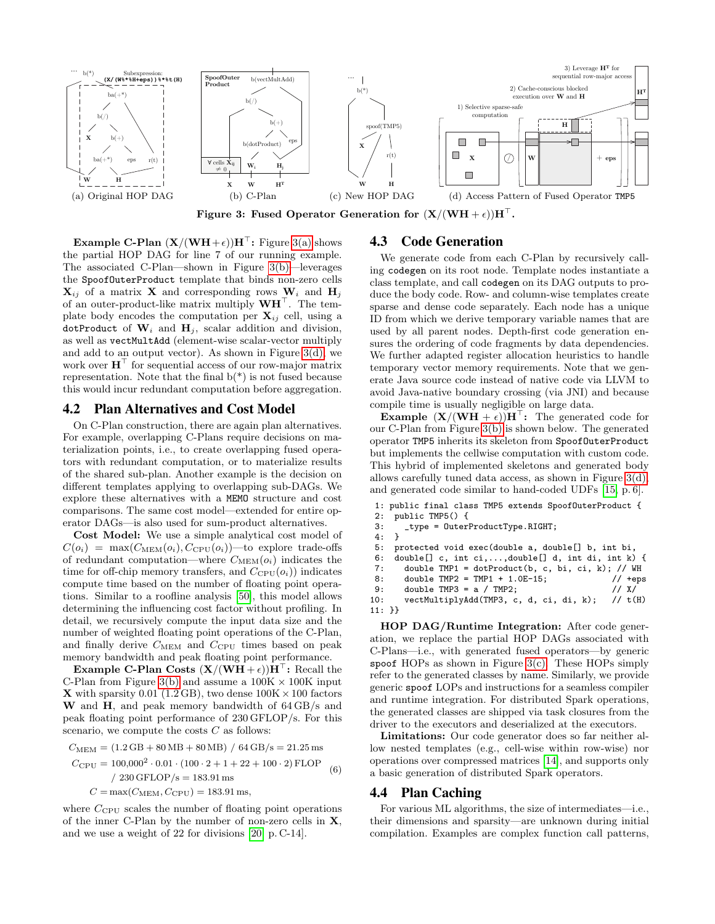<span id="page-4-0"></span>

<span id="page-4-1"></span>Figure 3: Fused Operator Generation for  $(X/(WH + \epsilon))H^{\perp}$ .

**Example C-Plan**  $(X/(WH+\epsilon))H^{\top}$ : Figure [3\(a\)](#page-4-0) shows the partial HOP DAG for line 7 of our running example. The associated C-Plan—shown in Figure [3\(b\)—](#page-4-1)leverages the SpoofOuterProduct template that binds non-zero cells  $X_{ij}$  of a matrix X and corresponding rows  $W_i$  and  $H_j$ of an outer-product-like matrix multiply  $WH<sup>T</sup>$ . The template body encodes the computation per  $\mathbf{X}_{ij}$  cell, using a dotProduct of  $W_i$  and  $H_j$ , scalar addition and division, as well as vectMultAdd (element-wise scalar-vector multiply and add to an output vector). As shown in Figure [3\(d\),](#page-4-2) we work over  $\mathbf{H}^{\top}$  for sequential access of our row-major matrix representation. Note that the final  $b(*)$  is not fused because this would incur redundant computation before aggregation.

# 4.2 Plan Alternatives and Cost Model

On C-Plan construction, there are again plan alternatives. For example, overlapping C-Plans require decisions on materialization points, i.e., to create overlapping fused operators with redundant computation, or to materialize results of the shared sub-plan. Another example is the decision on different templates applying to overlapping sub-DAGs. We explore these alternatives with a MEMO structure and cost comparisons. The same cost model—extended for entire operator DAGs—is also used for sum-product alternatives.

Cost Model: We use a simple analytical cost model of  $C(o_i) = \max(C_{MEM}(o_i), C_{CPU}(o_i))$ —to explore trade-offs of redundant computation—where  $C_{\text{MEM}}(o_i)$  indicates the time for off-chip memory transfers, and  $C_{\text{CPU}}(o_i)$  indicates compute time based on the number of floating point operations. Similar to a roofline analysis [\[50\]](#page-9-26), this model allows determining the influencing cost factor without profiling. In detail, we recursively compute the input data size and the number of weighted floating point operations of the C-Plan, and finally derive  $C_{\text{MEM}}$  and  $C_{\text{CPU}}$  times based on peak memory bandwidth and peak floating point performance.

**Example C-Plan Costs**  $(X/(WH + \epsilon))H^{\top}$ **:** Recall the C-Plan from Figure [3\(b\)](#page-4-1) and assume a  $100K \times 100K$  input **X** with sparsity 0.01 (1.2 GB), two dense  $100K \times 100$  factors W and H, and peak memory bandwidth of  $64 \text{ GB/s}$  and peak floating point performance of 230 GFLOP/s. For this scenario, we compute the costs  $C$  as follows:

$$
C_{\text{MEM}} = (1.2 \text{ GB} + 80 \text{ MB} + 80 \text{ MB}) / 64 \text{ GB/s} = 21.25 \text{ ms}
$$
  
\n
$$
C_{\text{CPU}} = 100,000^2 \cdot 0.01 \cdot (100 \cdot 2 + 1 + 22 + 100 \cdot 2) \text{ FLOP}
$$
  
\n
$$
/ 230 \text{ GFLOP/s} = 183.91 \text{ ms}
$$
  
\n
$$
C = \max(C_{\text{MEM}}, C_{\text{CPU}}) = 183.91 \text{ ms},
$$
  
\n(6)

where  $C_{\text{CPU}}$  scales the number of floating point operations of the inner C-Plan by the number of non-zero cells in  $X$ , and we use a weight of 22 for divisions [\[20,](#page-9-27) p. C-14].

## <span id="page-4-3"></span><span id="page-4-2"></span>4.3 Code Generation

We generate code from each C-Plan by recursively calling codegen on its root node. Template nodes instantiate a class template, and call codegen on its DAG outputs to produce the body code. Row- and column-wise templates create sparse and dense code separately. Each node has a unique ID from which we derive temporary variable names that are used by all parent nodes. Depth-first code generation ensures the ordering of code fragments by data dependencies. We further adapted register allocation heuristics to handle temporary vector memory requirements. Note that we generate Java source code instead of native code via LLVM to avoid Java-native boundary crossing (via JNI) and because compile time is usually negligible on large data.

**Example**  $(X/(WH + \epsilon))H^{\top}$ : The generated code for our C-Plan from Figure [3\(b\)](#page-4-1) is shown below. The generated operator TMP5 inherits its skeleton from SpoofOuterProduct but implements the cellwise computation with custom code. This hybrid of implemented skeletons and generated body allows carefully tuned data access, as shown in Figure [3\(d\),](#page-4-2) and generated code similar to hand-coded UDFs [\[15,](#page-9-28) p. 6].

```
1: public final class TMP5 extends SpoofOuterProduct {
 2: public TMP5() {
 3: _type = 0uterProductType.RIGHT;<br>4: }
 4:5: protected void exec(double a, double[] b, int bi, 6: double[] c, int ci,...,double[] d, int di, int k)
      double[] c, int ci,...,double[] d, int di, int k) { }7: double TMP1 = dotProduct(b, c, bi, ci, k); // WH<br>8: double TMP2 = TMP1 + 1.0E-15; // +eps
 8: double TMP2 = TMP1 + 1.0E-15; <br>9: double TMP3 = a / TMP2; <br>// X/
         double TMP3 = a / TMP2;
10: vectMultiplyAdd(TMP3, c, d, ci, di, k); // t(H)
11: }}
```
HOP DAG/Runtime Integration: After code generation, we replace the partial HOP DAGs associated with C-Plans—i.e., with generated fused operators—by generic spoof HOPs as shown in Figure [3\(c\).](#page-4-3) These HOPs simply refer to the generated classes by name. Similarly, we provide generic spoof LOPs and instructions for a seamless compiler and runtime integration. For distributed Spark operations, the generated classes are shipped via task closures from the driver to the executors and deserialized at the executors.

Limitations: Our code generator does so far neither allow nested templates (e.g., cell-wise within row-wise) nor operations over compressed matrices [\[14\]](#page-9-29), and supports only a basic generation of distributed Spark operators.

#### <span id="page-4-4"></span>4.4 Plan Caching

For various ML algorithms, the size of intermediates—i.e., their dimensions and sparsity—are unknown during initial compilation. Examples are complex function call patterns,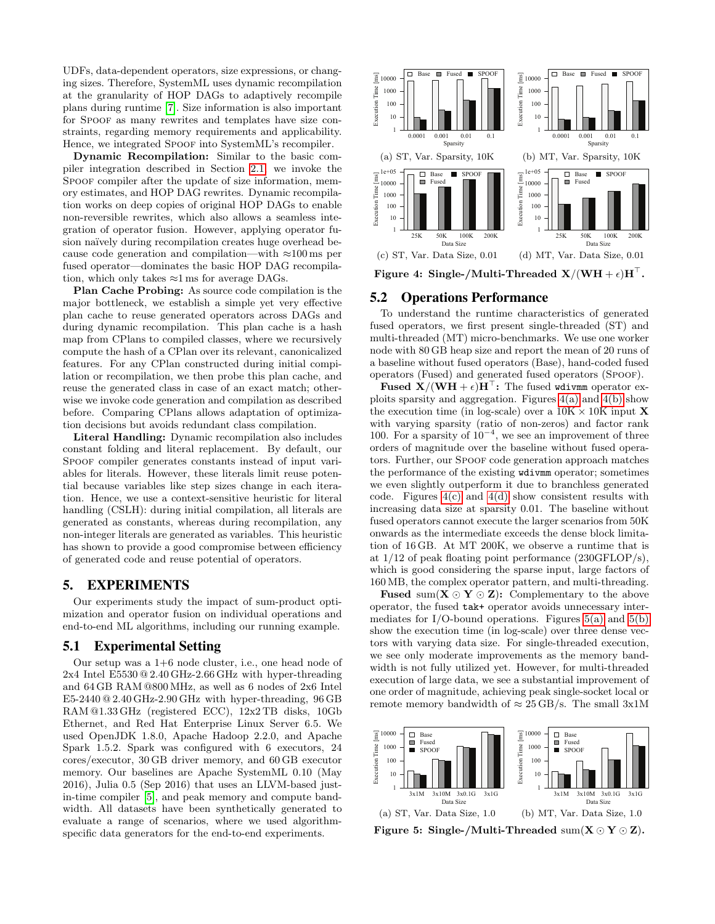UDFs, data-dependent operators, size expressions, or changing sizes. Therefore, SystemML uses dynamic recompilation at the granularity of HOP DAGs to adaptively recompile plans during runtime [\[7\]](#page-9-10). Size information is also important for Spoof as many rewrites and templates have size constraints, regarding memory requirements and applicability. Hence, we integrated SPOOF into SystemML's recompiler.

Dynamic Recompilation: Similar to the basic compiler integration described in Section [2.1,](#page-1-2) we invoke the SPOOF compiler after the update of size information, memory estimates, and HOP DAG rewrites. Dynamic recompilation works on deep copies of original HOP DAGs to enable non-reversible rewrites, which also allows a seamless integration of operator fusion. However, applying operator fusion naïvely during recompilation creates huge overhead because code generation and compilation—with  $\approx 100 \,\text{ms}$  per fused operator—dominates the basic HOP DAG recompilation, which only takes  $\approx$ 1 ms for average DAGs.

Plan Cache Probing: As source code compilation is the major bottleneck, we establish a simple yet very effective plan cache to reuse generated operators across DAGs and during dynamic recompilation. This plan cache is a hash map from CPlans to compiled classes, where we recursively compute the hash of a CPlan over its relevant, canonicalized features. For any CPlan constructed during initial compilation or recompilation, we then probe this plan cache, and reuse the generated class in case of an exact match; otherwise we invoke code generation and compilation as described before. Comparing CPlans allows adaptation of optimization decisions but avoids redundant class compilation.

Literal Handling: Dynamic recompilation also includes constant folding and literal replacement. By default, our SPOOF compiler generates constants instead of input variables for literals. However, these literals limit reuse potential because variables like step sizes change in each iteration. Hence, we use a context-sensitive heuristic for literal handling (CSLH): during initial compilation, all literals are generated as constants, whereas during recompilation, any non-integer literals are generated as variables. This heuristic has shown to provide a good compromise between efficiency of generated code and reuse potential of operators.

# <span id="page-5-0"></span>5. EXPERIMENTS

Our experiments study the impact of sum-product optimization and operator fusion on individual operations and end-to-end ML algorithms, including our running example.

# 5.1 Experimental Setting

Our setup was a 1+6 node cluster, i.e., one head node of 2x4 Intel E5530 @ 2.40 GHz-2.66 GHz with hyper-threading and 64 GB RAM @800 MHz, as well as 6 nodes of 2x6 Intel  $E5-2440@2.40~\text{GHz}$ -2.90 GHz with hyper-threading, 96 GB RAM @1.33 GHz (registered ECC), 12x2 TB disks, 10Gb Ethernet, and Red Hat Enterprise Linux Server 6.5. We used OpenJDK 1.8.0, Apache Hadoop 2.2.0, and Apache Spark 1.5.2. Spark was configured with 6 executors, 24 cores/executor, 30 GB driver memory, and 60 GB executor memory. Our baselines are Apache SystemML 0.10 (May 2016), Julia 0.5 (Sep 2016) that uses an LLVM-based justin-time compiler [\[5\]](#page-9-30), and peak memory and compute bandwidth. All datasets have been synthetically generated to evaluate a range of scenarios, where we used algorithmspecific data generators for the end-to-end experiments.

<span id="page-5-3"></span><span id="page-5-2"></span><span id="page-5-1"></span>

<span id="page-5-4"></span>Figure 4: Single-/Multi-Threaded  $X/(WH + \epsilon)H^{\top}$ .

#### 5.2 Operations Performance

To understand the runtime characteristics of generated fused operators, we first present single-threaded (ST) and multi-threaded (MT) micro-benchmarks. We use one worker node with 80 GB heap size and report the mean of 20 runs of a baseline without fused operators (Base), hand-coded fused operators (Fused) and generated fused operators (Spoof).

**Fused X/(WH** +  $\epsilon$ ) $H^{\top}$ : The fused wdivmm operator exploits sparsity and aggregation. Figures  $4(a)$  and  $4(b)$  show the execution time (in log-scale) over a  $10K \times 10K$  input **X** with varying sparsity (ratio of non-zeros) and factor rank 100. For a sparsity of  $10^{-4}$ , we see an improvement of three orders of magnitude over the baseline without fused operators. Further, our SPOOF code generation approach matches the performance of the existing wdivmm operator; sometimes we even slightly outperform it due to branchless generated code. Figures  $4(c)$  and  $4(d)$  show consistent results with increasing data size at sparsity 0.01. The baseline without fused operators cannot execute the larger scenarios from 50K onwards as the intermediate exceeds the dense block limitation of 16 GB. At MT 200K, we observe a runtime that is at 1/12 of peak floating point performance (230GFLOP/s), which is good considering the sparse input, large factors of 160 MB, the complex operator pattern, and multi-threading.

**Fused** sum( $X \odot Y \odot Z$ ): Complementary to the above operator, the fused tak+ operator avoids unnecessary intermediates for I/O-bound operations. Figures  $5(a)$  and  $5(b)$ show the execution time (in log-scale) over three dense vectors with varying data size. For single-threaded execution, we see only moderate improvements as the memory bandwidth is not fully utilized yet. However, for multi-threaded execution of large data, we see a substantial improvement of one order of magnitude, achieving peak single-socket local or remote memory bandwidth of  $\approx 25 \text{ GB/s}$ . The small 3x1M

<span id="page-5-5"></span>

<span id="page-5-6"></span>Figure 5: Single-/Multi-Threaded  $sum(X \odot Y \odot Z)$ .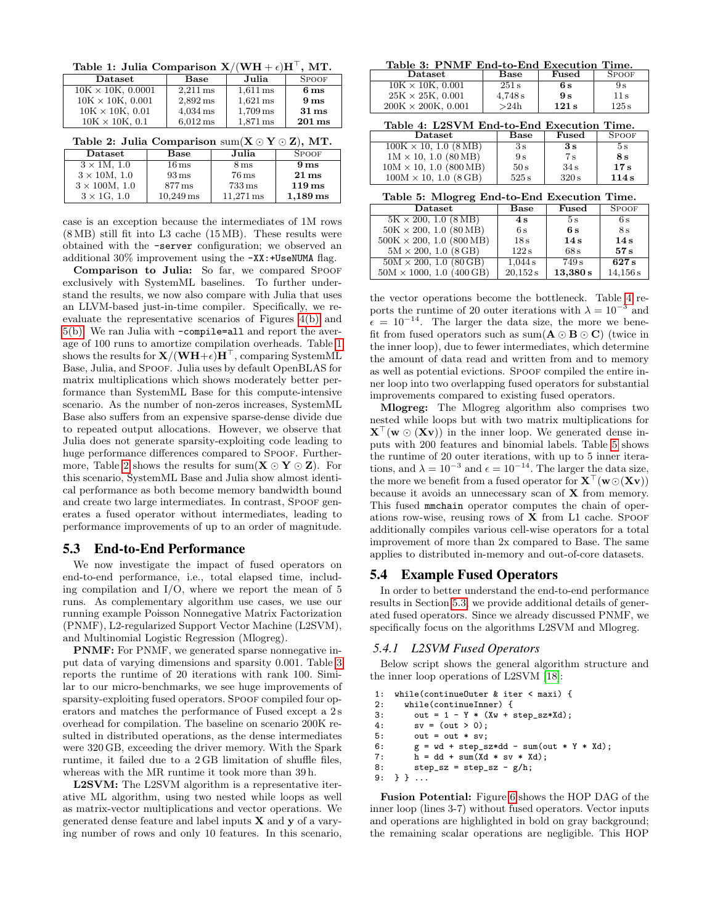<span id="page-6-0"></span>Table 1: Julia Comparison  $X/(WH + \epsilon)H^{\top}$ , MT.

| $\mathbf{D}\text{at } \text{aset}$ | Base                  | Julia                 | <b>SPOOF</b>        |
|------------------------------------|-----------------------|-----------------------|---------------------|
| $10K \times 10K$ , 0.0001          | $2.211 \,\mathrm{ms}$ | $1.611 \,\mathrm{ms}$ | 6 <sub>ms</sub>     |
| $10K \times 10K$ , 0.001           | $2.892 \,\mathrm{ms}$ | $1,621 \,\mathrm{ms}$ | 9 <sub>ms</sub>     |
| $10K \times 10K$ , 0.01            | $4.034 \,\mathrm{ms}$ | $1,709 \,\mathrm{ms}$ | $31 \,\mathrm{ms}$  |
| $10K \times 10K$ , 0.1             | $6.012 \,\mathrm{ms}$ | $1.871 \,\mathrm{ms}$ | $201 \,\mathrm{ms}$ |

<span id="page-6-1"></span>

|  |  | Table 2: Julia Comparison $\text{sum}(\textbf{X} \odot \textbf{Y} \odot \textbf{Z}), \text{MT}.$ |  |  |  |  |  |  |  |  |  |
|--|--|--------------------------------------------------------------------------------------------------|--|--|--|--|--|--|--|--|--|
|--|--|--------------------------------------------------------------------------------------------------|--|--|--|--|--|--|--|--|--|

| $\mathbf{D}\text{at } \text{aset}$ | Base                   | Julia                  | <b>SPOOF</b>          |
|------------------------------------|------------------------|------------------------|-----------------------|
| $3 \times 1$ M, 1.0                | $16 \,\mathrm{ms}$     | 8 <sub>ms</sub>        | 9 <sub>ms</sub>       |
| $3 \times 10M$ , 1.0               | $93 \,\mathrm{ms}$     | $76 \,\mathrm{ms}$     | $21 \,\mathrm{ms}$    |
| $3 \times 100M$ , 1.0              | $877 \,\mathrm{ms}$    | $733 \,\mathrm{ms}$    | $119 \,\mathrm{ms}$   |
| $3 \times 1$ G, 1.0                | $10.249 \,\mathrm{ms}$ | $11.271 \,\mathrm{ms}$ | $1,189 \,\mathrm{ms}$ |

case is an exception because the intermediates of 1M rows (8 MB) still fit into L3 cache (15 MB). These results were obtained with the -server configuration; we observed an additional 30% improvement using the -XX:+UseNUMA flag.

Comparison to Julia: So far, we compared Spoof exclusively with SystemML baselines. To further understand the results, we now also compare with Julia that uses an LLVM-based just-in-time compiler. Specifically, we reevaluate the representative scenarios of Figures [4\(b\)](#page-5-2) and [5\(b\).](#page-5-6) We ran Julia with -compile=all and report the average of 100 runs to amortize compilation overheads. Table [1](#page-6-0) shows the results for  $X/(WH+\epsilon)H^{\top}$ , comparing SystemML Base, Julia, and Spoof. Julia uses by default OpenBLAS for matrix multiplications which shows moderately better performance than SystemML Base for this compute-intensive scenario. As the number of non-zeros increases, SystemML Base also suffers from an expensive sparse-dense divide due to repeated output allocations. However, we observe that Julia does not generate sparsity-exploiting code leading to huge performance differences compared to SPOOF. Further-more, Table [2](#page-6-1) shows the results for sum( $X \odot Y \odot Z$ ). For this scenario, SystemML Base and Julia show almost identical performance as both become memory bandwidth bound and create two large intermediates. In contrast, SPOOF generates a fused operator without intermediates, leading to performance improvements of up to an order of magnitude.

# <span id="page-6-5"></span>5.3 End-to-End Performance

We now investigate the impact of fused operators on end-to-end performance, i.e., total elapsed time, including compilation and  $I/O$ , where we report the mean of 5 runs. As complementary algorithm use cases, we use our running example Poisson Nonnegative Matrix Factorization (PNMF), L2-regularized Support Vector Machine (L2SVM), and Multinomial Logistic Regression (Mlogreg).

PNMF: For PNMF, we generated sparse nonnegative input data of varying dimensions and sparsity 0.001. Table [3](#page-6-2) reports the runtime of 20 iterations with rank 100. Similar to our micro-benchmarks, we see huge improvements of sparsity-exploiting fused operators. Spoor compiled four operators and matches the performance of Fused except a 2 s overhead for compilation. The baseline on scenario 200K resulted in distributed operations, as the dense intermediates were 320 GB, exceeding the driver memory. With the Spark runtime, it failed due to a 2 GB limitation of shuffle files, whereas with the MR runtime it took more than 39 h.

L2SVM: The L2SVM algorithm is a representative iterative ML algorithm, using two nested while loops as well as matrix-vector multiplications and vector operations. We generated dense feature and label inputs  $X$  and  $y$  of a varying number of rows and only 10 features. In this scenario,

<span id="page-6-2"></span>Table 3: PNMF End-to-End Execution Time.

| Dataset                    | Base    | Fused | <b>SPOOF</b>      |  |
|----------------------------|---------|-------|-------------------|--|
| $10K \times 10K$ , 0.001   | 251 s   | 6 s   | 9 s               |  |
| $25K \times 25K$ , 0.001   | 4,748 s | 9s    | 11 s              |  |
| $200K \times 200K$ , 0.001 | >24h    | 121s  | $125\,\mathrm{s}$ |  |

<span id="page-6-3"></span>

|  | Table 4: L2SVM End-to-End Execution Time. |  |  |
|--|-------------------------------------------|--|--|
|  |                                           |  |  |

| $\mathbf{D}\text{at } \text{aset}$     | Base  | Fused | <b>SPOOF</b> |
|----------------------------------------|-------|-------|--------------|
| $100K \times 10, \overline{1.0 (8MB)}$ | 3s    | 3s    | 5 s          |
| $1M \times 10$ , 1.0 (80 MB)           | 9s    | 7s    | 8 s          |
| $10M \times 10$ , 1.0 (800 MB)         | 50 s  | 34s   | 17s          |
| $100M \times 10$ , 1.0 (8 GB)          | 525 s | 320 s | 114s         |

<span id="page-6-4"></span>Table 5: Mlogreg End-to-End Execution Time.

| $\mathbf{D}\text{at }$                | Base     | Fused    | <b>SPOOF</b> |
|---------------------------------------|----------|----------|--------------|
| $5K \times 200, \overline{1.0 (8MB)}$ | 4s       | 5s       | 6s           |
| $50K \times 200$ , 1.0 (80 MB)        | 6s       | 6 s      | 8s           |
| $500K \times 200, 1.0 (800 MB)$       | 18s      | 14s      | 14s          |
| $5M \times 200$ , 1.0 (8 GB)          | 122s     | 68s      | 57s          |
| $50M \times 200$ , 1.0 (80 GB)        | 1,044s   | 749s     | 627s         |
| $50M \times 1000$ , 1.0 (400 GB)      | 20.152 s | 13,380 s | 14,156s      |

the vector operations become the bottleneck. Table [4](#page-6-3) reports the runtime of 20 outer iterations with  $\lambda = 10^{-3}$  and  $\epsilon = 10^{-14}$ . The larger the data size, the more we benefit from fused operators such as sum( $A \odot B \odot C$ ) (twice in the inner loop), due to fewer intermediates, which determine the amount of data read and written from and to memory as well as potential evictions. Spoor compiled the entire inner loop into two overlapping fused operators for substantial improvements compared to existing fused operators.

Mlogreg: The Mlogreg algorithm also comprises two nested while loops but with two matrix multiplications for  $X^{\perp}(w \odot (Xv))$  in the inner loop. We generated dense inputs with 200 features and binomial labels. Table [5](#page-6-4) shows the runtime of 20 outer iterations, with up to 5 inner iterations, and  $\lambda = 10^{-3}$  and  $\epsilon = 10^{-14}$ . The larger the data size, the more we benefit from a fused operator for  $\mathbf{X}^{\top}(\mathbf{w}\odot(\mathbf{X}\mathbf{v}))$ because it avoids an unnecessary scan of  $X$  from memory. This fused mmchain operator computes the chain of operations row-wise, reusing rows of  $X$  from L1 cache. Spoor additionally compiles various cell-wise operators for a total improvement of more than 2x compared to Base. The same applies to distributed in-memory and out-of-core datasets.

#### 5.4 Example Fused Operators

In order to better understand the end-to-end performance results in Section [5.3,](#page-6-5) we provide additional details of generated fused operators. Since we already discussed PNMF, we specifically focus on the algorithms L2SVM and Mlogreg.

#### *5.4.1 L2SVM Fused Operators*

Below script shows the general algorithm structure and the inner loop operations of L2SVM [\[18\]](#page-9-12):

```
1: while(continueOuter & iter < maxi) {
2: while(continueInner) {
3: out = 1 - Y * (XW + step\_sz * Xd);4: sv = (out > 0);<br>5: out = out * sv;out = out * sv;6: g = wd + step_sz*dd - sum(out * Y * Xd);<br>7: h = dd + sum(Xd * sv * Xd);h = dd + sum(Xd * sv * Xd);8: step\_sz = step\_sz - g/h;9: } } ...
```
Fusion Potential: Figure [6](#page-7-0) shows the HOP DAG of the inner loop (lines 3-7) without fused operators. Vector inputs and operations are highlighted in bold on gray background; the remaining scalar operations are negligible. This HOP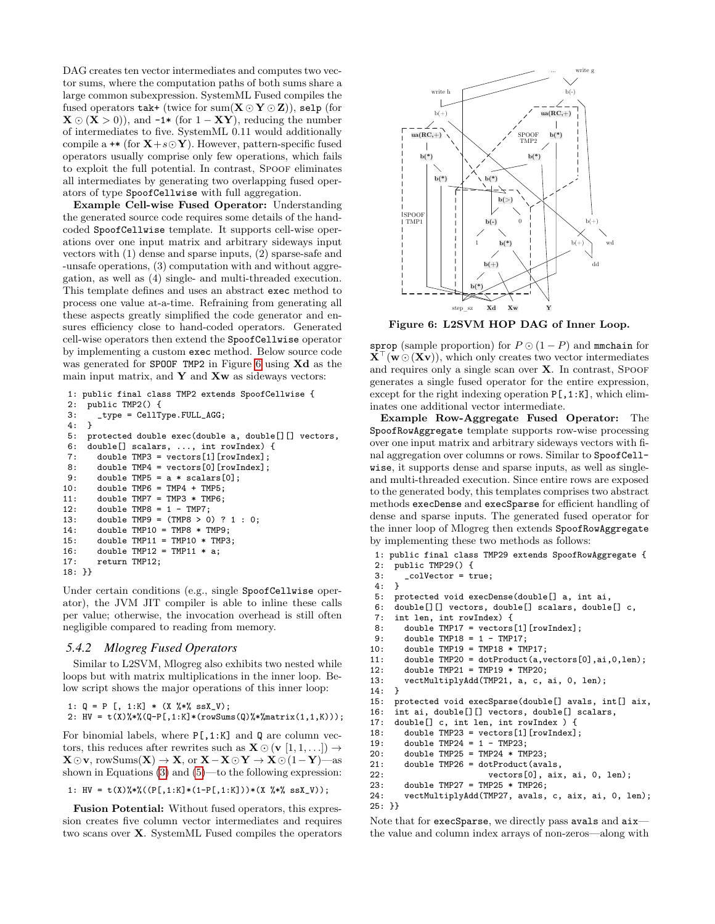DAG creates ten vector intermediates and computes two vector sums, where the computation paths of both sums share a large common subexpression. SystemML Fused compiles the fused operators tak+ (twice for sum( $X \odot Y \odot Z$ )), selp (for  $\mathbf{X} \odot (\mathbf{X} > 0)$ , and  $-1*$  (for  $1 - \mathbf{X} \mathbf{Y}$ ), reducing the number of intermediates to five. SystemML 0.11 would additionally compile a  $\ast\ast$  (for  $X + s \odot Y$ ). However, pattern-specific fused operators usually comprise only few operations, which fails to exploit the full potential. In contrast, SPOOF eliminates all intermediates by generating two overlapping fused operators of type SpoofCellwise with full aggregation.

Example Cell-wise Fused Operator: Understanding the generated source code requires some details of the handcoded SpoofCellwise template. It supports cell-wise operations over one input matrix and arbitrary sideways input vectors with (1) dense and sparse inputs, (2) sparse-safe and -unsafe operations, (3) computation with and without aggregation, as well as (4) single- and multi-threaded execution. This template defines and uses an abstract exec method to process one value at-a-time. Refraining from generating all these aspects greatly simplified the code generator and ensures efficiency close to hand-coded operators. Generated cell-wise operators then extend the SpoofCellwise operator by implementing a custom exec method. Below source code was generated for SPOOF TMP2 in Figure [6](#page-7-0) using Xd as the main input matrix, and  $Y$  and  $Xw$  as sideways vectors:

```
1: public final class TMP2 extends SpoofCellwise {
 2: public TMP2() {
 3: \quad \begin{array}{l} \mathtt{-type} \; = \; \mathtt{CellType.FULL\_AGG} \, ; \\ 4: \quad \end{array}4:5: protected double exec(double a, double[][] vectors,
 6: double[] scalars, ..., int rowIndex) {
 7: double TMP3 = vectors[1][rowIndex];<br>8: double TMP4 = vectors[0][rowIndex]:
 8: double TMP4 = vectors[0][rowIndex];<br>9: double TMP5 = a * scalars[0]:
          double TMP5 = a * scalars[0];
10: double TMP6 = TMP4 + TMP5;<br>11: double TMP7 = TMP3 * TMP6:
          double TMP7 = TMP3 * TMP6;
12: double TMP8 = 1 - \text{IMP7};<br>13: double TMP9 = (\text{IMP8} > 0)13: double TMP9 = (TMP8 > 0) ? 1 : 0;<br>14: double TMP10 = TMP8 * TMP9;
          double TMP10 = TMP8 * TMP9;
15: double TMP11 = TMP10 * TMP3;
16: double TMP12 = TMP11 * a;
17: return TMP12;
18: }}
```
Under certain conditions (e.g., single SpoofCellwise operator), the JVM JIT compiler is able to inline these calls per value; otherwise, the invocation overhead is still often negligible compared to reading from memory.

#### *5.4.2 Mlogreg Fused Operators*

Similar to L2SVM, Mlogreg also exhibits two nested while loops but with matrix multiplications in the inner loop. Below script shows the major operations of this inner loop:

```
1: Q = P [, 1:K] * (X %*% ssX_V);
2: HV = t(X)\frac{4}{3}\cdot(Q-P[,1:K]*(rowsums(Q)\frac{4}{3}\cdot(matrix(1,1,K))));
```
For binomial labels, where  $P[,1:K]$  and Q are column vectors, this reduces after rewrites such as  $\mathbf{X} \odot (\mathbf{v} \hspace{0.2cm} [1, 1, \ldots]) \rightarrow$  $X \odot v$ , rowSums $(X) \rightarrow X$ , or  $X - X \odot Y \rightarrow X \odot (1 - Y)$ —as shown in Equations [\(3\)](#page-3-2) and [\(5\)](#page-3-1)—to the following expression:

```
1: HV = t(X)\% * % ((P[, 1:K] * (1-P[, 1:K])) * (X \% * % ssX_V));
```
Fusion Potential: Without fused operators, this expression creates five column vector intermediates and requires two scans over X. SystemML Fused compiles the operators



<span id="page-7-0"></span>Figure 6: L2SVM HOP DAG of Inner Loop.

sprop (sample proportion) for  $P \odot (1 - P)$  and mmchain for  $X^{\top}(w\odot (Xv))$ , which only creates two vector intermediates and requires only a single scan over  $X$ . In contrast, SPOOF generates a single fused operator for the entire expression, except for the right indexing operation  $P[$ , 1:K], which eliminates one additional vector intermediate.

Example Row-Aggregate Fused Operator: The SpoofRowAggregate template supports row-wise processing over one input matrix and arbitrary sideways vectors with final aggregation over columns or rows. Similar to SpoofCellwise, it supports dense and sparse inputs, as well as singleand multi-threaded execution. Since entire rows are exposed to the generated body, this templates comprises two abstract methods execDense and execSparse for efficient handling of dense and sparse inputs. The generated fused operator for the inner loop of Mlogreg then extends SpoofRowAggregate by implementing these two methods as follows:

```
1: public final class TMP29 extends SpoofRowAggregate {
 2: public TMP29() {<br>3: \_colVector = t
      3: _colVector = true;
 rac{4}{5}:
 5: protected void execDense(double[] a, int ai,<br>6: double[][] vectors, double[] scalars, double
 6: double[][] vectors, double[] scalars, double[] c,<br>7. int len int rowIndex) {
 7: int len, int rowIndex) {<br>8: double TMP17 = vectors
 8: double TMP17 = vectors[1][rowIndex];<br>9: double TMP18 = 1 - TMP17:
9: double TMP18 = 1 - TMP17;<br>10: double TMP19 = TMP18 * TM
10: double TMP19 = TMP18 * TMP17;<br>11: double TMP20 = dotProduct(a,v
         double TMP20 = dotPart(a, vectors[0], ai, 0, len);12: double TMP21 = TMP19 * TMP20;
13: vectMultiplyAdd(TMP21, a, c, ai, 0, len);<br>14: }
14:15: protected void execSparse(double[] avals, int[] aix,
16: int ai, double[][] vectors, double[] scalars,
17: double[] c, int len, int rowIndex ) {
18: double TMP23 = vectors[1][rowIndex];
19: double TMP24 = 1 - TMP23;
20: double TMP25 = TMP24 * TMP23;<br>21: double TMP26 = dotProduct(ava
         double TMP26 = dotProduct(avals,
22: vectors[0], aix, ai, 0, len);
23: double TMP27 = TMP25 * TMP26;
24: vectMultiplyAdd(TMP27, avals, c, aix, ai, 0, len);
25: }}
```
Note that for execSparse, we directly pass avals and aixthe value and column index arrays of non-zeros—along with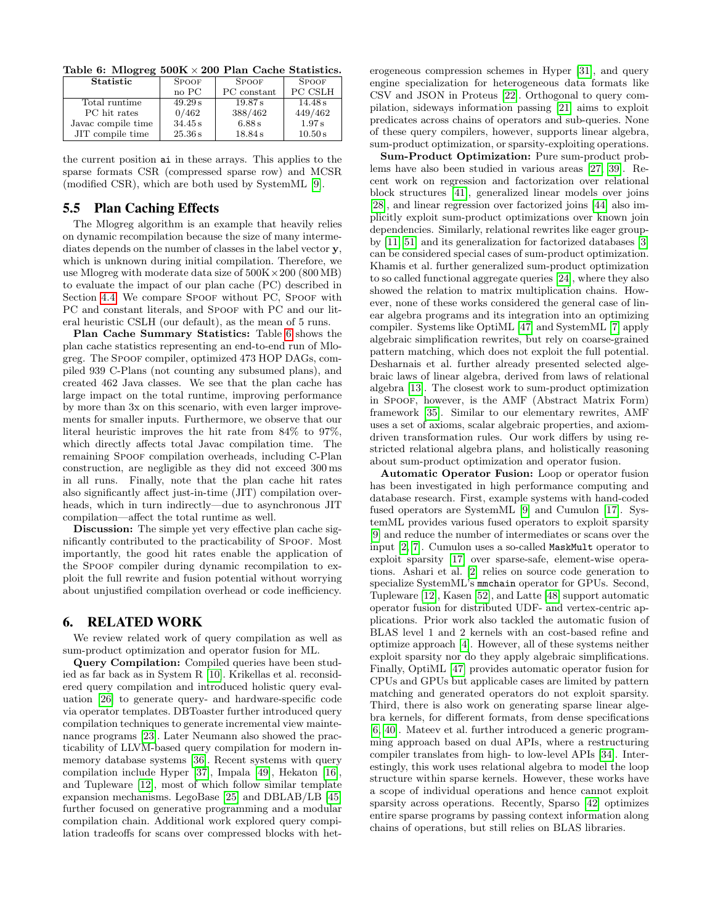<span id="page-8-0"></span>Table 6: M $logreg 500K \times 200$  Plan Cache Statistics.

| Statistic          | <b>SPOOF</b> | <b>SPOOF</b> | <b>SPOOF</b>   |  |  |  |  |  |
|--------------------|--------------|--------------|----------------|--|--|--|--|--|
|                    | no PC        | PC constant  | <b>PC CSLH</b> |  |  |  |  |  |
| Total runtime      | 49.29 s      | 19.87 s      | 14.48 s        |  |  |  |  |  |
| PC hit rates       | 0/462        | 388/462      | 449/462        |  |  |  |  |  |
| Javac compile time | 34.45 s      | 6.88 s       | 1.97 s         |  |  |  |  |  |
| JIT compile time   | 25.36 s      | 18.84 s      | 10.50 s        |  |  |  |  |  |

the current position ai in these arrays. This applies to the sparse formats CSR (compressed sparse row) and MCSR (modified CSR), which are both used by SystemML [\[9\]](#page-9-7).

#### 5.5 Plan Caching Effects

The Mlogreg algorithm is an example that heavily relies on dynamic recompilation because the size of many intermediates depends on the number of classes in the label vector y, which is unknown during initial compilation. Therefore, we use M $\log$ reg with moderate data size of  $500K \times 200$  (800 MB) to evaluate the impact of our plan cache (PC) described in Section [4.4.](#page-4-4) We compare SPOOF without PC, SPOOF with PC and constant literals, and Spoor with PC and our literal heuristic CSLH (our default), as the mean of 5 runs.

Plan Cache Summary Statistics: Table [6](#page-8-0) shows the plan cache statistics representing an end-to-end run of Mlogreg. The Spoof compiler, optimized 473 HOP DAGs, compiled 939 C-Plans (not counting any subsumed plans), and created 462 Java classes. We see that the plan cache has large impact on the total runtime, improving performance by more than 3x on this scenario, with even larger improvements for smaller inputs. Furthermore, we observe that our literal heuristic improves the hit rate from 84% to 97%, which directly affects total Javac compilation time. The remaining Spoof compilation overheads, including C-Plan construction, are negligible as they did not exceed 300 ms in all runs. Finally, note that the plan cache hit rates also significantly affect just-in-time (JIT) compilation overheads, which in turn indirectly—due to asynchronous JIT compilation—affect the total runtime as well.

Discussion: The simple yet very effective plan cache significantly contributed to the practicability of Spoof. Most importantly, the good hit rates enable the application of the Spoof compiler during dynamic recompilation to exploit the full rewrite and fusion potential without worrying about unjustified compilation overhead or code inefficiency.

## 6. RELATED WORK

We review related work of query compilation as well as sum-product optimization and operator fusion for ML.

Query Compilation: Compiled queries have been studied as far back as in System R [\[10\]](#page-9-31). Krikellas et al. reconsidered query compilation and introduced holistic query evaluation [\[26\]](#page-9-32) to generate query- and hardware-specific code via operator templates. DBToaster further introduced query compilation techniques to generate incremental view maintenance programs [\[23\]](#page-9-33). Later Neumann also showed the practicability of LLVM-based query compilation for modern inmemory database systems [\[36\]](#page-9-34). Recent systems with query compilation include Hyper [\[37\]](#page-9-35), Impala [\[49\]](#page-9-36), Hekaton [\[16\]](#page-9-37), and Tupleware [\[12\]](#page-9-38), most of which follow similar template expansion mechanisms. LegoBase [\[25\]](#page-9-39) and DBLAB/LB [\[45\]](#page-9-40) further focused on generative programming and a modular compilation chain. Additional work explored query compilation tradeoffs for scans over compressed blocks with heterogeneous compression schemes in Hyper [\[31\]](#page-9-41), and query engine specialization for heterogeneous data formats like CSV and JSON in Proteus [\[22\]](#page-9-42). Orthogonal to query compilation, sideways information passing [\[21\]](#page-9-43) aims to exploit predicates across chains of operators and sub-queries. None of these query compilers, however, supports linear algebra, sum-product optimization, or sparsity-exploiting operations.

Sum-Product Optimization: Pure sum-product problems have also been studied in various areas [\[27,](#page-9-44) [39\]](#page-9-45). Recent work on regression and factorization over relational block structures [\[41\]](#page-9-19), generalized linear models over joins [\[28\]](#page-9-18), and linear regression over factorized joins [\[44\]](#page-9-20) also implicitly exploit sum-product optimizations over known join dependencies. Similarly, relational rewrites like eager groupby [\[11,](#page-9-22) [51\]](#page-9-23) and its generalization for factorized databases [\[3\]](#page-9-46) can be considered special cases of sum-product optimization. Khamis et al. further generalized sum-product optimization to so called functional aggregate queries [\[24\]](#page-9-47), where they also showed the relation to matrix multiplication chains. However, none of these works considered the general case of linear algebra programs and its integration into an optimizing compiler. Systems like OptiML [\[47\]](#page-9-8) and SystemML [\[7\]](#page-9-10) apply algebraic simplification rewrites, but rely on coarse-grained pattern matching, which does not exploit the full potential. Desharnais et al. further already presented selected algebraic laws of linear algebra, derived from laws of relational algebra [\[13\]](#page-9-11). The closest work to sum-product optimization in Spoof, however, is the AMF (Abstract Matrix Form) framework [\[35\]](#page-9-4). Similar to our elementary rewrites, AMF uses a set of axioms, scalar algebraic properties, and axiomdriven transformation rules. Our work differs by using restricted relational algebra plans, and holistically reasoning about sum-product optimization and operator fusion.

Automatic Operator Fusion: Loop or operator fusion has been investigated in high performance computing and database research. First, example systems with hand-coded fused operators are SystemML [\[9\]](#page-9-7) and Cumulon [\[17\]](#page-9-9). SystemML provides various fused operators to exploit sparsity [\[9\]](#page-9-7) and reduce the number of intermediates or scans over the input [\[2,](#page-9-13) [7\]](#page-9-10). Cumulon uses a so-called MaskMult operator to exploit sparsity [\[17\]](#page-9-9) over sparse-safe, element-wise operations. Ashari et al. [\[2\]](#page-9-13) relies on source code generation to specialize SystemML's mmchain operator for GPUs. Second, Tupleware [\[12\]](#page-9-38), Kasen [\[52\]](#page-9-48), and Latte [\[48\]](#page-9-49) support automatic operator fusion for distributed UDF- and vertex-centric applications. Prior work also tackled the automatic fusion of BLAS level 1 and 2 kernels with an cost-based refine and optimize approach [\[4\]](#page-9-14). However, all of these systems neither exploit sparsity nor do they apply algebraic simplifications. Finally, OptiML [\[47\]](#page-9-8) provides automatic operator fusion for CPUs and GPUs but applicable cases are limited by pattern matching and generated operators do not exploit sparsity. Third, there is also work on generating sparse linear algebra kernels, for different formats, from dense specifications [\[6,](#page-9-50) [40\]](#page-9-51). Mateev et al. further introduced a generic programming approach based on dual APIs, where a restructuring compiler translates from high- to low-level APIs [\[34\]](#page-9-21). Interestingly, this work uses relational algebra to model the loop structure within sparse kernels. However, these works have a scope of individual operations and hence cannot exploit sparsity across operations. Recently, Sparso [\[42\]](#page-9-52) optimizes entire sparse programs by passing context information along chains of operations, but still relies on BLAS libraries.